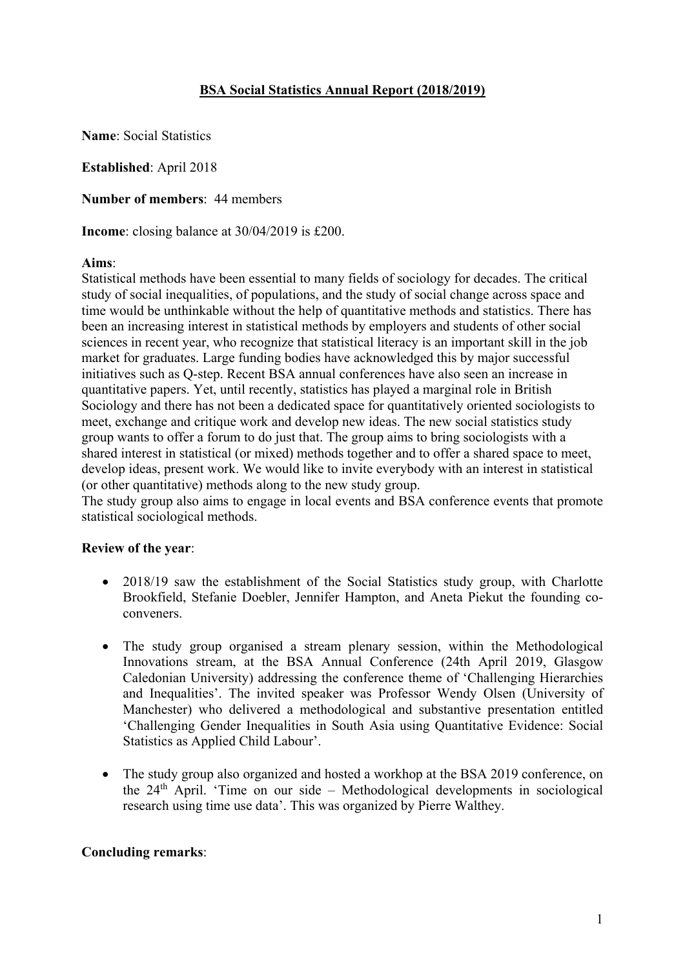# **BSA Social Statistics Annual Report (2018/2019)**

**Name**: Social Statistics

**Established**: April 2018

**Number of members**: 44 members

**Income**: closing balance at 30/04/2019 is £200.

### **Aims**:

Statistical methods have been essential to many fields of sociology for decades. The critical study of social inequalities, of populations, and the study of social change across space and time would be unthinkable without the help of quantitative methods and statistics. There has been an increasing interest in statistical methods by employers and students of other social sciences in recent year, who recognize that statistical literacy is an important skill in the job market for graduates. Large funding bodies have acknowledged this by major successful initiatives such as Q-step. Recent BSA annual conferences have also seen an increase in quantitative papers. Yet, until recently, statistics has played a marginal role in British Sociology and there has not been a dedicated space for quantitatively oriented sociologists to meet, exchange and critique work and develop new ideas. The new social statistics study group wants to offer a forum to do just that. The group aims to bring sociologists with a shared interest in statistical (or mixed) methods together and to offer a shared space to meet, develop ideas, present work. We would like to invite everybody with an interest in statistical (or other quantitative) methods along to the new study group.

The study group also aims to engage in local events and BSA conference events that promote statistical sociological methods.

## **Review of the year**:

- 2018/19 saw the establishment of the Social Statistics study group, with Charlotte Brookfield, Stefanie Doebler, Jennifer Hampton, and Aneta Piekut the founding coconveners.
- The study group organised a stream plenary session, within the Methodological Innovations stream, at the BSA Annual Conference (24th April 2019, Glasgow Caledonian University) addressing the conference theme of 'Challenging Hierarchies and Inequalities'. The invited speaker was Professor Wendy Olsen (University of Manchester) who delivered a methodological and substantive presentation entitled 'Challenging Gender Inequalities in South Asia using Quantitative Evidence: Social Statistics as Applied Child Labour'.
- The study group also organized and hosted a workhop at the BSA 2019 conference, on the  $24<sup>th</sup>$  April. 'Time on our side – Methodological developments in sociological research using time use data'. This was organized by Pierre Walthey.

## **Concluding remarks**: